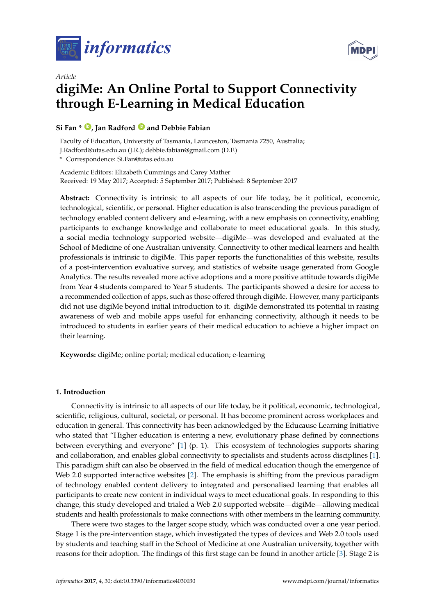

*Article*



# **digiMe: An Online Portal to Support Connectivity through E-Learning in Medical Education**

# **Si Fan \* [ID](https://orcid.org/0000-0003-1572-3677) , Jan Radford [ID](https://orcid.org/0000-0002-5751-0488) and Debbie Fabian**

Faculty of Education, University of Tasmania, Launceston, Tasmania 7250, Australia; J.Radford@utas.edu.au (J.R.); debbie.fabian@gmail.com (D.F.)

**\*** Correspondence: Si.Fan@utas.edu.au

Academic Editors: Elizabeth Cummings and Carey Mather Received: 19 May 2017; Accepted: 5 September 2017; Published: 8 September 2017

**Abstract:** Connectivity is intrinsic to all aspects of our life today, be it political, economic, technological, scientific, or personal. Higher education is also transcending the previous paradigm of technology enabled content delivery and e-learning, with a new emphasis on connectivity, enabling participants to exchange knowledge and collaborate to meet educational goals. In this study, a social media technology supported website—digiMe—was developed and evaluated at the School of Medicine of one Australian university. Connectivity to other medical learners and health professionals is intrinsic to digiMe. This paper reports the functionalities of this website, results of a post-intervention evaluative survey, and statistics of website usage generated from Google Analytics. The results revealed more active adoptions and a more positive attitude towards digiMe from Year 4 students compared to Year 5 students. The participants showed a desire for access to a recommended collection of apps, such as those offered through digiMe. However, many participants did not use digiMe beyond initial introduction to it. digiMe demonstrated its potential in raising awareness of web and mobile apps useful for enhancing connectivity, although it needs to be introduced to students in earlier years of their medical education to achieve a higher impact on their learning.

**Keywords:** digiMe; online portal; medical education; e-learning

# **1. Introduction**

Connectivity is intrinsic to all aspects of our life today, be it political, economic, technological, scientific, religious, cultural, societal, or personal. It has become prominent across workplaces and education in general. This connectivity has been acknowledged by the Educause Learning Initiative who stated that "Higher education is entering a new, evolutionary phase defined by connections between everything and everyone" [\[1\]](#page-8-0) (p. 1). This ecosystem of technologies supports sharing and collaboration, and enables global connectivity to specialists and students across disciplines [\[1\]](#page-8-0). This paradigm shift can also be observed in the field of medical education though the emergence of Web 2.0 supported interactive websites [\[2\]](#page-8-1). The emphasis is shifting from the previous paradigm of technology enabled content delivery to integrated and personalised learning that enables all participants to create new content in individual ways to meet educational goals. In responding to this change, this study developed and trialed a Web 2.0 supported website—digiMe—allowing medical students and health professionals to make connections with other members in the learning community.

There were two stages to the larger scope study, which was conducted over a one year period. Stage 1 is the pre-intervention stage, which investigated the types of devices and Web 2.0 tools used by students and teaching staff in the School of Medicine at one Australian university, together with reasons for their adoption. The findings of this first stage can be found in another article [\[3\]](#page-8-2). Stage 2 is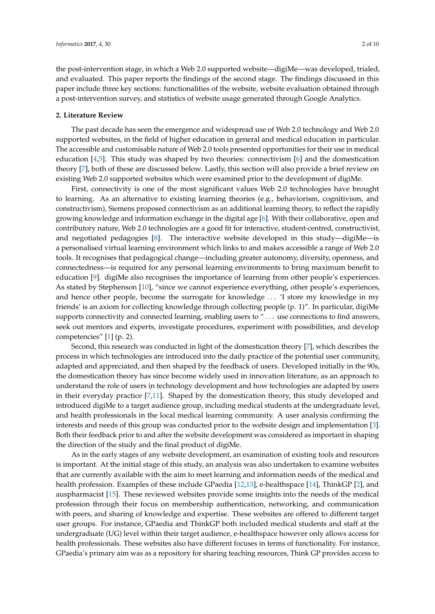the post-intervention stage, in which a Web 2.0 supported website—digiMe—was developed, trialed, and evaluated. This paper reports the findings of the second stage. The findings discussed in this paper include three key sections: functionalities of the website, website evaluation obtained through a post-intervention survey, and statistics of website usage generated through Google Analytics.

### **2. Literature Review**

The past decade has seen the emergence and widespread use of Web 2.0 technology and Web 2.0 supported websites, in the field of higher education in general and medical education in particular. The accessible and customisable nature of Web 2.0 tools presented opportunities for their use in medical education [\[4](#page-8-3)[,5\]](#page-8-4). This study was shaped by two theories: connectivism [\[6\]](#page-8-5) and the domestication theory [\[7\]](#page-8-6), both of these are discussed below. Lastly, this section will also provide a brief review on existing Web 2.0 supported websites which were examined prior to the development of digiMe.

First, connectivity is one of the most significant values Web 2.0 technologies have brought to learning. As an alternative to existing learning theories (e.g., behaviorism, cognitivism, and constructivism), Siemens proposed connectivism as an additional learning theory, to reflect the rapidly growing knowledge and information exchange in the digital age [\[6\]](#page-8-5). With their collaborative, open and contributory nature, Web 2.0 technologies are a good fit for interactive, student-centred, constructivist, and negotiated pedagogies [\[8\]](#page-8-7). The interactive website developed in this study—digiMe—is a personalised virtual learning environment which links to and makes accessible a range of Web 2.0 tools. It recognises that pedagogical change—including greater autonomy, diversity, openness, and connectedness—is required for any personal learning environments to bring maximum benefit to education [\[9\]](#page-8-8). digiMe also recognises the importance of learning from other people's experiences. As stated by Stephenson [\[10\]](#page-8-9), "since we cannot experience everything, other people's experiences, and hence other people, become the surrogate for knowledge . . . 'I store my knowledge in my friends' is an axiom for collecting knowledge through collecting people (p. 1)". In particular, digiMe supports connectivity and connected learning, enabling users to "... use connections to find answers, seek out mentors and experts, investigate procedures, experiment with possibilities, and develop competencies" [\[1\]](#page-8-0) (p. 2).

Second, this research was conducted in light of the domestication theory [\[7\]](#page-8-6), which describes the process in which technologies are introduced into the daily practice of the potential user community, adapted and appreciated, and then shaped by the feedback of users. Developed initially in the 90s, the domestication theory has since become widely used in innovation literature, as an approach to understand the role of users in technology development and how technologies are adapted by users in their everyday practice [\[7](#page-8-6)[,11\]](#page-8-10). Shaped by the domestication theory, this study developed and introduced digiMe to a target audience group, including medical students at the undergraduate level, and health professionals in the local medical learning community. A user analysis confirming the interests and needs of this group was conducted prior to the website design and implementation [\[3\]](#page-8-2). Both their feedback prior to and after the website development was considered as important in shaping the direction of the study and the final product of digiMe.

As in the early stages of any website development, an examination of existing tools and resources is important. At the initial stage of this study, an analysis was also undertaken to examine websites that are currently available with the aim to meet learning and information needs of the medical and health profession. Examples of these include GPaedia [\[12](#page-8-11)[,13\]](#page-9-0), e-healthspace [\[14\]](#page-9-1), ThinkGP [\[2\]](#page-8-1), and auspharmacist [\[15\]](#page-9-2). These reviewed websites provide some insights into the needs of the medical profession through their focus on membership authentication, networking, and communication with peers, and sharing of knowledge and expertise. These websites are offered to different target user groups. For instance, GPaedia and ThinkGP both included medical students and staff at the undergraduate (UG) level within their target audience, e-healthspace however only allows access for health professionals. These websites also have different focuses in terms of functionality. For instance, GPaedia's primary aim was as a repository for sharing teaching resources, Think GP provides access to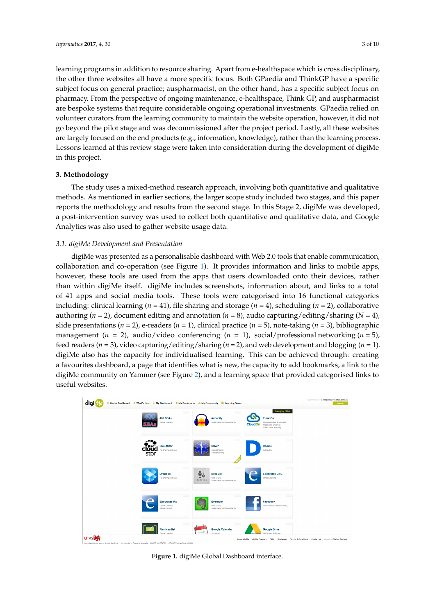learning programs in addition to resource sharing. Apart from e-healthspace which is cross disciplinary, the other three websites all have a more specific focus. Both GPaedia and ThinkGP have a specific *Informatics* **2017**, *4*, 30 3 of 10 subject focus on general practice; auspharmacist, on the other hand, has a specific subject focus on pharmacy. From the perspective of ongoing maintenance, e-healthspace, Think GP, and auspharmacist are bespoke systems that require considerable ongoing operational investments. GPaedia relied on volunteer curators from the learning community to maintain the website operation, however, it did not specific subsiderable subsideration of continuing commissioned after the project period. Lastly, all these websites go beyond the pilot stage and was decommissioned after the project period. Lastly, all these websites are largely focused on the end products (e.g., information, knowledge), rather than the learning process.<br> Lessons learned at this review stage were taken into consideration during the development of digiMe in this project. This grow are photologically was decommissioned and the project period. Easily, an inese well  $\rho$  is project. Lastly, all these websites are largely focused on the end products (e.g., information, information, information,  $\eta$ 

# **3. Methodology**

The study uses a mixed-method research approach, involving both quantitative and qualitative methods. As mentioned in earlier sections, the larger scope study included two stages, and this paper reports the methodology and results from the second stage. In this Stage 2, digiMe was developed, a post-intervention survey was used to collect both quantitative and qualitative data, and Google Analytics was also used to gather website usage data. post-intervention survey was used to collect both  $\alpha$ 

# 3.1. digiMe Development and Presentation

digiMe was presented as a personalisable dashboard with Web 2.0 tools that enable communication, collaboration and co-operation (see Figure [1\)](#page-2-0). It provides information and links to mobile apps, however, these tools are used from the apps that users downloaded onto their devices, rather than within digiMe itself. digiMe includes screenshots, information about, and links to a total of 41 apps and social media tools. These tools were categorised into 16 functional categories including: clinical learning ( $n = 41$ ), file sharing and storage ( $n = 4$ ), scheduling ( $n = 2$ ), collaborative authoring ( $n = 2$ ), document editing and annotation ( $n = 8$ ), audio capturing/editing/sharing ( $N = 4$ ), slide presentations ( $n = 2$ ), e-readers ( $n = 1$ ), clinical practice ( $n = 5$ ), note-taking ( $n = 3$ ), bibliographic management ( $n = 2$ ), audio/video conferencing ( $n = 1$ ), social/professional networking ( $n = 5$ ), feed readers ( $n = 3$ ), video capturing/editing/sharing ( $n = 2$ ), and web development and blogging ( $n = 1$ ). digiMe also has the capacity for individualised learning. This can be achieved through: creating digiMe also has the capacity for individualised learning. This can be achieved through: creating a favourites dashboard, a page that identifies what is new, the capacity to add bookmarks, a link to the favourites dashboard, a page that identifies what is new, the capacity to add bookmarks, a link to the digiMe community on Yammer (see Figure [2\)](#page-3-0), and a learning space that provided categorised links to digiMe community on Yammer (see Figure 2), and a learning space that provided categorised links useful websites. digime also has the capacity for marviolumbed learning. This can be achieved through: crea

<span id="page-2-0"></span>

| digi         | 111 Global Dashboard ♥ What's New ★ My Dashboard R My Bookmarks Lt My Community R Learning Space |                                                                             |                                                                                                                                                       |  |
|--------------|--------------------------------------------------------------------------------------------------|-----------------------------------------------------------------------------|-------------------------------------------------------------------------------------------------------------------------------------------------------|--|
|              | -<br>400 SBAs<br><b>Clinical Learning</b>                                                        | <b>Audacity</b><br>Audio Capturing/Edting/Sharing                           | <b>Category Filter</b><br><b>CloudOn</b><br>Document Editing & Annotation<br><b>CloudOn</b><br>File Sharing & Storage<br>Collaborative Authoring      |  |
|              | -<br><br>cloud<br>stor<br><b>CloudStor</b><br>File Sharing & Storage                             | _<br><b>CRAP</b><br><b>Clinical Practice</b><br>Clinical Learning           | <b>Doodle</b><br>Scheduling                                                                                                                           |  |
|              | <b>Dropbox</b><br>File Sharing & Storage                                                         | <b>DropVox</b><br>Note Taking<br>DROPVOX<br>Audio Capturing/Editing/Sharing | <b>Epocrates CME</b><br><b>Clinical Learning</b>                                                                                                      |  |
|              | =<br><b>Epocrates Rx</b><br>Clinical Learning<br>Clinical Practice                               | Evernote<br><b>Note Taking</b><br>Audio Capturing/Edting/Sharing            | Facebook<br>Social/Professional Networking                                                                                                            |  |
| <b>UTASS</b> | -<br><b>Flashcardlet</b><br><b>Jinical Learning</b>                                              | <b>Google Calendar</b><br>Coosk<br>Schedulgo                                | <b>Google Drive</b><br>Te Sharing & Storage<br>About digille digille Features FAQs Disclaimer Terms & Conditions Contact us Website by Walker Designs |  |

**Figure 1.** digiMe Global Dashboard interface. **Figure 1.** digiMe Global Dashboard interface.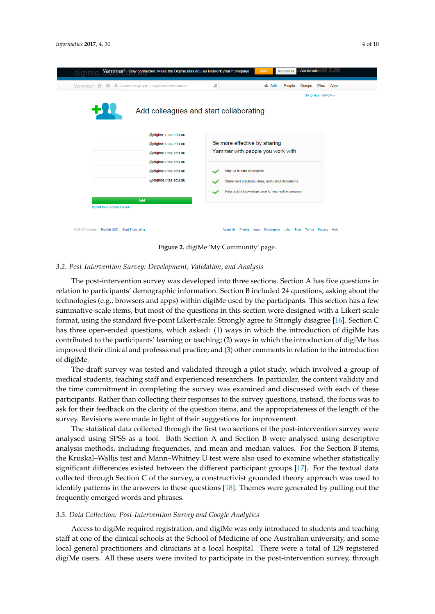<span id="page-3-0"></span>

| yammer <sup>®</sup> | Search for people, groups and conversations | Q<br><b>tl</b> Add<br>People<br><b>Files</b><br><b>Groups</b><br>Go to your network » | Apps |  |
|---------------------|---------------------------------------------|---------------------------------------------------------------------------------------|------|--|
|                     |                                             | Add colleagues and start collaborating                                                |      |  |
|                     | @digime.utas.edu.au                         |                                                                                       |      |  |
|                     | @digime.utas.edu.au                         | Be more effective by sharing<br>Yammer with people you work with                      |      |  |
|                     | @digime.utas.edu.au<br>@digime.utas.edu.au  |                                                                                       |      |  |
|                     | @digime.utas.edu.au                         | Stay up to date on projects                                                           |      |  |
|                     | @digime.utas.edu.au                         | Share best practices, ideas, and useful documents                                     |      |  |
|                     |                                             | Help build a knowledge base for your entire company                                   |      |  |
|                     | Add                                         |                                                                                       |      |  |

**Figure 2.** digiMe 'My Community' page. **Figure 2.** digiMe 'My Community' page.

# *3.2. Post-Intervention Survey: Development, Validation, and Analysis 3.2. Post-Intervention Survey: Development, Validation, and Analysis*

The post-intervention survey was developed into three sections. Section A has five questions in The post-intervention survey was developed into three sections. Section A has five questions in relation to participants' demographic information. Section B included 24 questions, asking about the relations technologies (e.g., browsers and apps) within digiMe used by the participants. This section has a few summative-scale items, but most of the questions in this section were designed with a Likert-scale summative-scale items, but most of the questions in this section were designed with a Likert-scale format, using the standard five-point Likert-scale: Strongly agree to Strongly disagree [\[16\]](#page-9-3). Section C format, using the standard five-point Likert-scale: Strongly agree to Strongly disagree [16]. Section C has three open-ended questions, which asked: (1) ways in which the introduction of digiMe has contributed to the participants' learning or teaching; (2) ways in which the introduction of digiMe has improved their clinical and professional practice; and (3) other comments in relation to the introduction  $\int d\theta$  is the comments in relation to the property in relation to the  $\int d\theta$  of  $d\theta$  other comments in relation to the system of  $\int d\theta$  or the system of  $\int d\theta$  or the system of  $\int d\theta$  or the system of  $\int d\theta$  or the technologies (e.g., browsers and apps) within digiMe used by the participants. This section has a few of digiMe.

The draft survey was tested and validated through a pilot study, which involved a group of medical students, teaching staff and experienced researchers. In particular, the content validity and the time commitment in completing the survey was examined and discussed with each of these participants. Rather than collecting their responses to the survey questions, instead, the focus was to ask for their feedback on the clarity of the question items, and the appropriateness of the length of the survey. Revisions were made in light of their suggestions for improvement.

The statistical data collected through the first two sections of the post-intervention survey were analysed using SPSS as a tool. Both Section A and Section B were analysed using descriptive analysis methods, including frequencies, and mean and median values. For the Section B items, the Kruskal–Wallis test and Mann–Whitney U test were also used to examine whether statistically significant differences existed between the different participant groups [\[17\]](#page-9-4). For the textual data collected through Section C of the survey, a constructivist grounded theory approach was used to<br>in the textual data collected through Section C of the survey, a constructivist grounded theory approach was used to identify patterns in the answers to these questions [\[18\]](#page-9-5). Themes were generated by pulling out the<br>frequently emerged words and phrases patterns in the answers to the answers were generated by pulling out the frequency of  $\mathcal{L}$ frequently emerged words and phrases.

# 3.3. Data Collection: Post-Intervention Survey and Google Analytics

*3.3. Battering Staff at one of the clinical schools at the School of Medicine of one Australian university, and some* local general practitioners and clinicians at a local hospital. There were a total of 129 registered digiMe users. All these users were invited to participate in the post-intervention survey, through Access to digiMe required registration, and digiMe was only introduced to students and teaching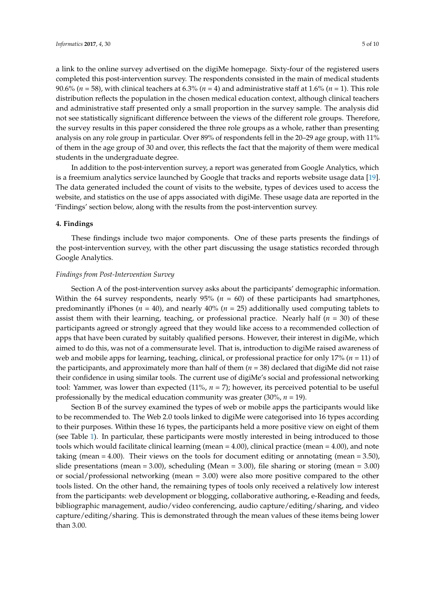a link to the online survey advertised on the digiMe homepage. Sixty-four of the registered users completed this post-intervention survey. The respondents consisted in the main of medical students 90.6% (*n* = 58), with clinical teachers at 6.3% (*n* = 4) and administrative staff at 1.6% (*n* = 1). This role distribution reflects the population in the chosen medical education context, although clinical teachers and administrative staff presented only a small proportion in the survey sample. The analysis did not see statistically significant difference between the views of the different role groups. Therefore, the survey results in this paper considered the three role groups as a whole, rather than presenting analysis on any role group in particular. Over 89% of respondents fell in the 20–29 age group, with 11% of them in the age group of 30 and over, this reflects the fact that the majority of them were medical students in the undergraduate degree.

In addition to the post-intervention survey, a report was generated from Google Analytics, which is a freemium analytics service launched by Google that tracks and reports website usage data [\[19\]](#page-9-6). The data generated included the count of visits to the website, types of devices used to access the website, and statistics on the use of apps associated with digiMe. These usage data are reported in the 'Findings' section below, along with the results from the post-intervention survey.

### **4. Findings**

These findings include two major components. One of these parts presents the findings of the post-intervention survey, with the other part discussing the usage statistics recorded through Google Analytics.

#### *Findings from Post-Intervention Survey*

Section A of the post-intervention survey asks about the participants' demographic information. Within the 64 survey respondents, nearly  $95\%$  ( $n = 60$ ) of these participants had smartphones, predominantly iPhones ( $n = 40$ ), and nearly  $40\%$  ( $n = 25$ ) additionally used computing tablets to assist them with their learning, teaching, or professional practice. Nearly half  $(n = 30)$  of these participants agreed or strongly agreed that they would like access to a recommended collection of apps that have been curated by suitably qualified persons. However, their interest in digiMe, which aimed to do this, was not of a commensurate level. That is, introduction to digiMe raised awareness of web and mobile apps for learning, teaching, clinical, or professional practice for only 17% (*n* = 11) of the participants, and approximately more than half of them (*n* = 38) declared that digiMe did not raise their confidence in using similar tools. The current use of digiMe's social and professional networking tool: Yammer, was lower than expected (11%, *n* = 7); however, its perceived potential to be useful professionally by the medical education community was greater (30%, *n* = 19).

Section B of the survey examined the types of web or mobile apps the participants would like to be recommended to. The Web 2.0 tools linked to digiMe were categorised into 16 types according to their purposes. Within these 16 types, the participants held a more positive view on eight of them (see Table [1\)](#page-5-0). In particular, these participants were mostly interested in being introduced to those tools which would facilitate clinical learning (mean = 4.00), clinical practice (mean = 4.00), and note taking (mean = 4.00). Their views on the tools for document editing or annotating (mean = 3.50), slide presentations (mean = 3.00), scheduling (Mean = 3.00), file sharing or storing (mean = 3.00) or social/professional networking (mean = 3.00) were also more positive compared to the other tools listed. On the other hand, the remaining types of tools only received a relatively low interest from the participants: web development or blogging, collaborative authoring, e-Reading and feeds, bibliographic management, audio/video conferencing, audio capture/editing/sharing, and video capture/editing/sharing. This is demonstrated through the mean values of these items being lower than 3.00.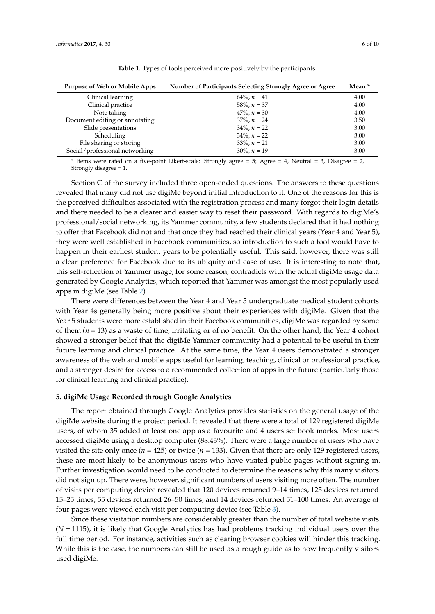<span id="page-5-0"></span>

| Purpose of Web or Mobile Apps  | Number of Participants Selecting Strongly Agree or Agree | Mean * |
|--------------------------------|----------------------------------------------------------|--------|
| Clinical learning              | $64\%$ , $n = 41$                                        | 4.00   |
| Clinical practice              | $58\%$ , $n = 37$                                        | 4.00   |
| Note taking                    | $47\%$ , $n = 30$                                        | 4.00   |
| Document editing or annotating | $37\%$ , $n = 24$                                        | 3.50   |
| Slide presentations            | $34\%$ , $n = 22$                                        | 3.00   |
| Scheduling                     | $34\%$ , $n = 22$                                        | 3.00   |
| File sharing or storing        | $33\%$ , $n = 21$                                        | 3.00   |
| Social/professional networking | $30\%$ , $n = 19$                                        | 3.00   |

**Table 1.** Types of tools perceived more positively by the participants.

\* Items were rated on a five-point Likert-scale: Strongly agree = 5; Agree = 4, Neutral = 3, Disagree = 2, Strongly disagree = 1.

Section C of the survey included three open-ended questions. The answers to these questions revealed that many did not use digiMe beyond initial introduction to it. One of the reasons for this is the perceived difficulties associated with the registration process and many forgot their login details and there needed to be a clearer and easier way to reset their password. With regards to digiMe's professional/social networking, its Yammer community, a few students declared that it had nothing to offer that Facebook did not and that once they had reached their clinical years (Year 4 and Year 5), they were well established in Facebook communities, so introduction to such a tool would have to happen in their earliest student years to be potentially useful. This said, however, there was still a clear preference for Facebook due to its ubiquity and ease of use. It is interesting to note that, this self-reflection of Yammer usage, for some reason, contradicts with the actual digiMe usage data generated by Google Analytics, which reported that Yammer was amongst the most popularly used apps in digiMe (see Table [2\)](#page-6-0).

There were differences between the Year 4 and Year 5 undergraduate medical student cohorts with Year 4s generally being more positive about their experiences with digiMe. Given that the Year 5 students were more established in their Facebook communities, digiMe was regarded by some of them  $(n = 13)$  as a waste of time, irritating or of no benefit. On the other hand, the Year 4 cohort showed a stronger belief that the digiMe Yammer community had a potential to be useful in their future learning and clinical practice. At the same time, the Year 4 users demonstrated a stronger awareness of the web and mobile apps useful for learning, teaching, clinical or professional practice, and a stronger desire for access to a recommended collection of apps in the future (particularly those for clinical learning and clinical practice).

### **5. digiMe Usage Recorded through Google Analytics**

The report obtained through Google Analytics provides statistics on the general usage of the digiMe website during the project period. It revealed that there were a total of 129 registered digiMe users, of whom 35 added at least one app as a favourite and 4 users set book marks. Most users accessed digiMe using a desktop computer (88.43%). There were a large number of users who have visited the site only once ( $n = 425$ ) or twice ( $n = 133$ ). Given that there are only 129 registered users, these are most likely to be anonymous users who have visited public pages without signing in. Further investigation would need to be conducted to determine the reasons why this many visitors did not sign up. There were, however, significant numbers of users visiting more often. The number of visits per computing device revealed that 120 devices returned 9–14 times, 125 devices returned 15–25 times, 55 devices returned 26–50 times, and 14 devices returned 51–100 times. An average of four pages were viewed each visit per computing device (see Table [3\)](#page-6-1).

Since these visitation numbers are considerably greater than the number of total website visits (*N* = 1115), it is likely that Google Analytics has had problems tracking individual users over the full time period. For instance, activities such as clearing browser cookies will hinder this tracking. While this is the case, the numbers can still be used as a rough guide as to how frequently visitors used digiMe.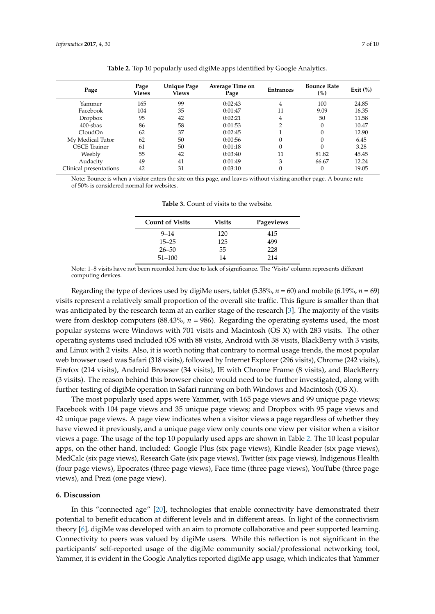<span id="page-6-0"></span>

| Page<br>Views | <b>Unique Page</b><br>Views | Average Time on<br>Page | <b>Entrances</b> | <b>Bounce Rate</b><br>(%) | Exit $(\%)$ |
|---------------|-----------------------------|-------------------------|------------------|---------------------------|-------------|
| 165           | 99                          | 0:02:43                 | 4                | 100                       | 24.85       |
| 104           | 35                          | 0:01:47                 | 11               | 9.09                      | 16.35       |
| 95            | 42                          | 0:02:21                 | 4                | 50                        | 11.58       |
| 86            | 58                          | 0:01:53                 | ∍                | 0                         | 10.47       |
| 62            | 37                          | 0:02:45                 |                  |                           | 12.90       |
| 62            | 50                          | 0:00:56                 | $\theta$         |                           | 6.45        |
| 61            | 50                          | 0:01:18                 | $\theta$         | $\Omega$                  | 3.28        |
| 55            | 42                          | 0:03:40                 | 11               | 81.82                     | 45.45       |
| 49            | 41                          | 0:01:49                 | 3                | 66.67                     | 12.24       |
| 42            | 31                          | 0:03:10                 | $\theta$         | 0                         | 19.05       |
|               |                             |                         |                  |                           |             |

**Table 2.** Top 10 popularly used digiMe apps identified by Google Analytics.

<span id="page-6-1"></span>Note: Bounce is when a visitor enters the site on this page, and leaves without visiting another page. A bounce rate of 50% is considered normal for websites.

| <b>Count of Visits</b> | Visits | Pageviews |
|------------------------|--------|-----------|
| $9 - 14$               | 120    | 415       |
| $15 - 25$              | 125    | 499       |
| $26 - 50$              | 55     | 228       |
| $51 - 100$             | 14     | 214       |
|                        |        |           |

**Table 3.** Count of visits to the website.

Note: 1–8 visits have not been recorded here due to lack of significance. The 'Visits' column represents different computing devices.

Regarding the type of devices used by digiMe users, tablet  $(5.38\%, n = 60)$  and mobile  $(6.19\%, n = 69)$ visits represent a relatively small proportion of the overall site traffic. This figure is smaller than that was anticipated by the research team at an earlier stage of the research [\[3\]](#page-8-2). The majority of the visits were from desktop computers (88.43%, *n* = 986). Regarding the operating systems used, the most popular systems were Windows with 701 visits and Macintosh (OS X) with 283 visits. The other operating systems used included iOS with 88 visits, Android with 38 visits, BlackBerry with 3 visits, and Linux with 2 visits. Also, it is worth noting that contrary to normal usage trends, the most popular web browser used was Safari (318 visits), followed by Internet Explorer (296 visits), Chrome (242 visits), Firefox (214 visits), Android Browser (34 visits), IE with Chrome Frame (8 visits), and BlackBerry (3 visits). The reason behind this browser choice would need to be further investigated, along with further testing of digiMe operation in Safari running on both Windows and Macintosh (OS X).

The most popularly used apps were Yammer, with 165 page views and 99 unique page views; Facebook with 104 page views and 35 unique page views; and Dropbox with 95 page views and 42 unique page views. A page view indicates when a visitor views a page regardless of whether they have viewed it previously, and a unique page view only counts one view per visitor when a visitor views a page. The usage of the top 10 popularly used apps are shown in Table [2.](#page-6-0) The 10 least popular apps, on the other hand, included: Google Plus (six page views), Kindle Reader (six page views), MedCalc (six page views), Research Gate (six page views), Twitter (six page views), Indigenous Health (four page views), Epocrates (three page views), Face time (three page views), YouTube (three page views), and Prezi (one page view).

#### **6. Discussion**

In this "connected age" [\[20\]](#page-9-7), technologies that enable connectivity have demonstrated their potential to benefit education at different levels and in different areas. In light of the connectivism theory [\[6\]](#page-8-5), digiMe was developed with an aim to promote collaborative and peer supported learning. Connectivity to peers was valued by digiMe users. While this reflection is not significant in the participants' self-reported usage of the digiMe community social/professional networking tool, Yammer, it is evident in the Google Analytics reported digiMe app usage, which indicates that Yammer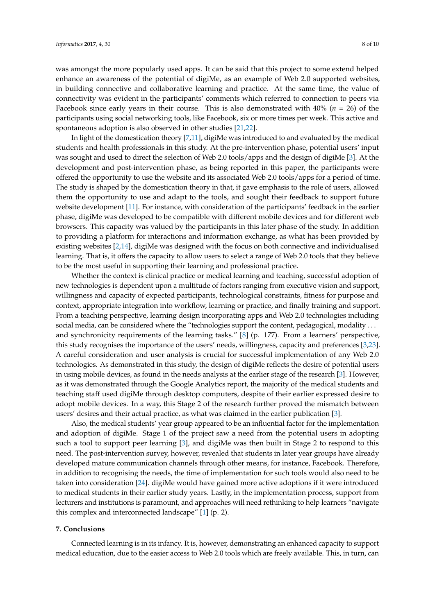was amongst the more popularly used apps. It can be said that this project to some extend helped enhance an awareness of the potential of digiMe, as an example of Web 2.0 supported websites, in building connective and collaborative learning and practice. At the same time, the value of connectivity was evident in the participants' comments which referred to connection to peers via Facebook since early years in their course. This is also demonstrated with 40% (*n* = 26) of the participants using social networking tools, like Facebook, six or more times per week. This active and spontaneous adoption is also observed in other studies [\[21](#page-9-8)[,22\]](#page-9-9).

In light of the domestication theory [\[7](#page-8-6)[,11\]](#page-8-10), digiMe was introduced to and evaluated by the medical students and health professionals in this study. At the pre-intervention phase, potential users' input was sought and used to direct the selection of Web 2.0 tools/apps and the design of digiMe [\[3\]](#page-8-2). At the development and post-intervention phase, as being reported in this paper, the participants were offered the opportunity to use the website and its associated Web 2.0 tools/apps for a period of time. The study is shaped by the domestication theory in that, it gave emphasis to the role of users, allowed them the opportunity to use and adapt to the tools, and sought their feedback to support future website development [\[11\]](#page-8-10). For instance, with consideration of the participants' feedback in the earlier phase, digiMe was developed to be compatible with different mobile devices and for different web browsers. This capacity was valued by the participants in this later phase of the study. In addition to providing a platform for interactions and information exchange, as what has been provided by existing websites [\[2,](#page-8-1)[14\]](#page-9-1), digiMe was designed with the focus on both connective and individualised learning. That is, it offers the capacity to allow users to select a range of Web 2.0 tools that they believe to be the most useful in supporting their learning and professional practice.

Whether the context is clinical practice or medical learning and teaching, successful adoption of new technologies is dependent upon a multitude of factors ranging from executive vision and support, willingness and capacity of expected participants, technological constraints, fitness for purpose and context, appropriate integration into workflow, learning or practice, and finally training and support. From a teaching perspective, learning design incorporating apps and Web 2.0 technologies including social media, can be considered where the "technologies support the content, pedagogical, modality ... and synchronicity requirements of the learning tasks." [\[8\]](#page-8-7) (p. 177). From a learners' perspective, this study recognises the importance of the users' needs, willingness, capacity and preferences [\[3,](#page-8-2)[23\]](#page-9-10). A careful consideration and user analysis is crucial for successful implementation of any Web 2.0 technologies. As demonstrated in this study, the design of digiMe reflects the desire of potential users in using mobile devices, as found in the needs analysis at the earlier stage of the research [\[3\]](#page-8-2). However, as it was demonstrated through the Google Analytics report, the majority of the medical students and teaching staff used digiMe through desktop computers, despite of their earlier expressed desire to adopt mobile devices. In a way, this Stage 2 of the research further proved the mismatch between users' desires and their actual practice, as what was claimed in the earlier publication [\[3\]](#page-8-2).

Also, the medical students' year group appeared to be an influential factor for the implementation and adoption of digiMe. Stage 1 of the project saw a need from the potential users in adopting such a tool to support peer learning [\[3\]](#page-8-2), and digiMe was then built in Stage 2 to respond to this need. The post-intervention survey, however, revealed that students in later year groups have already developed mature communication channels through other means, for instance, Facebook. Therefore, in addition to recognising the needs, the time of implementation for such tools would also need to be taken into consideration [\[24\]](#page-9-11). digiMe would have gained more active adoptions if it were introduced to medical students in their earlier study years. Lastly, in the implementation process, support from lecturers and institutions is paramount, and approaches will need rethinking to help learners "navigate this complex and interconnected landscape" [\[1\]](#page-8-0) (p. 2).

## **7. Conclusions**

Connected learning is in its infancy. It is, however, demonstrating an enhanced capacity to support medical education, due to the easier access to Web 2.0 tools which are freely available. This, in turn, can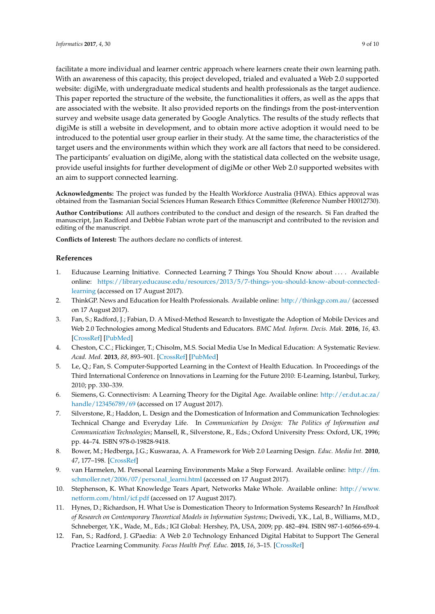facilitate a more individual and learner centric approach where learners create their own learning path. With an awareness of this capacity, this project developed, trialed and evaluated a Web 2.0 supported website: digiMe, with undergraduate medical students and health professionals as the target audience. This paper reported the structure of the website, the functionalities it offers, as well as the apps that are associated with the website. It also provided reports on the findings from the post-intervention survey and website usage data generated by Google Analytics. The results of the study reflects that digiMe is still a website in development, and to obtain more active adoption it would need to be introduced to the potential user group earlier in their study. At the same time, the characteristics of the target users and the environments within which they work are all factors that need to be considered. The participants' evaluation on digiMe, along with the statistical data collected on the website usage, provide useful insights for further development of digiMe or other Web 2.0 supported websites with an aim to support connected learning.

**Acknowledgments:** The project was funded by the Health Workforce Australia (HWA). Ethics approval was obtained from the Tasmanian Social Sciences Human Research Ethics Committee (Reference Number H0012730).

**Author Contributions:** All authors contributed to the conduct and design of the research. Si Fan drafted the manuscript, Jan Radford and Debbie Fabian wrote part of the manuscript and contributed to the revision and editing of the manuscript.

**Conflicts of Interest:** The authors declare no conflicts of interest.

#### **References**

- <span id="page-8-0"></span>1. Educause Learning Initiative. Connected Learning 7 Things You Should Know about . . . . Available online: [https://library.educause.edu/resources/2013/5/7-things-you-should-know-about-connected](https://library.educause.edu/resources/2013/5/7-things-you-should-know-about-connected-learning)[learning](https://library.educause.edu/resources/2013/5/7-things-you-should-know-about-connected-learning) (accessed on 17 August 2017).
- <span id="page-8-1"></span>2. ThinkGP. News and Education for Health Professionals. Available online: <http://thinkgp.com.au/> (accessed on 17 August 2017).
- <span id="page-8-2"></span>3. Fan, S.; Radford, J.; Fabian, D. A Mixed-Method Research to Investigate the Adoption of Mobile Devices and Web 2.0 Technologies among Medical Students and Educators. *BMC Med. Inform. Decis. Mak.* **2016**, *16*, 43. [\[CrossRef\]](http://dx.doi.org/10.1186/s12911-016-0283-6) [\[PubMed\]](http://www.ncbi.nlm.nih.gov/pubmed/27094813)
- <span id="page-8-3"></span>4. Cheston, C.C.; Flickinger, T.; Chisolm, M.S. Social Media Use In Medical Education: A Systematic Review. *Acad. Med.* **2013**, *88*, 893–901. [\[CrossRef\]](http://dx.doi.org/10.1097/ACM.0b013e31828ffc23) [\[PubMed\]](http://www.ncbi.nlm.nih.gov/pubmed/23619071)
- <span id="page-8-4"></span>5. Le, Q.; Fan, S. Computer-Supported Learning in the Context of Health Education. In Proceedings of the Third International Conference on Innovations in Learning for the Future 2010: E-Learning, Istanbul, Turkey, 2010; pp. 330–339.
- <span id="page-8-5"></span>6. Siemens, G. Connectivism: A Learning Theory for the Digital Age. Available online: [http://er.dut.ac.za/](http://er.dut.ac.za/handle/123456789/69) [handle/123456789/69](http://er.dut.ac.za/handle/123456789/69) (accessed on 17 August 2017).
- <span id="page-8-6"></span>7. Silverstone, R.; Haddon, L. Design and the Domestication of Information and Communication Technologies: Technical Change and Everyday Life. In *Communication by Design: The Politics of Information and Communication Technologies*; Mansell, R., Silverstone, R., Eds.; Oxford University Press: Oxford, UK, 1996; pp. 44–74. ISBN 978-0-19828-9418.
- <span id="page-8-7"></span>8. Bower, M.; Hedberga, J.G.; Kuswaraa, A. A Framework for Web 2.0 Learning Design. *Educ. Media Int.* **2010**, *47*, 177–198. [\[CrossRef\]](http://dx.doi.org/10.1080/09523987.2010.518811)
- <span id="page-8-8"></span>9. van Harmelen, M. Personal Learning Environments Make a Step Forward. Available online: [http://fm.](http://fm.schmoller.net/2006/07/personal_learni.html) [schmoller.net/2006/07/personal\\_learni.html](http://fm.schmoller.net/2006/07/personal_learni.html) (accessed on 17 August 2017).
- <span id="page-8-9"></span>10. Stephenson, K. What Knowledge Tears Apart, Networks Make Whole. Available online: [http://www.](http://www.netform.com/html/icf.pdf) [netform.com/html/icf.pdf](http://www.netform.com/html/icf.pdf) (accessed on 17 August 2017).
- <span id="page-8-10"></span>11. Hynes, D.; Richardson, H. What Use is Domestication Theory to Information Systems Research? In *Handbook of Research on Contemporary Theoretical Models in Information Systems*; Dwivedi, Y.K., Lal, B., Williams, M.D., Schneberger, Y.K., Wade, M., Eds.; IGI Global: Hershey, PA, USA, 2009; pp. 482–494. ISBN 987-1-60566-659-4.
- <span id="page-8-11"></span>12. Fan, S.; Radford, J. GPaedia: A Web 2.0 Technology Enhanced Digital Habitat to Support The General Practice Learning Community. *Focus Health Prof. Educ.* **2015**, *16*, 3–15. [\[CrossRef\]](http://dx.doi.org/10.11157/fohpe.v16i3.85)